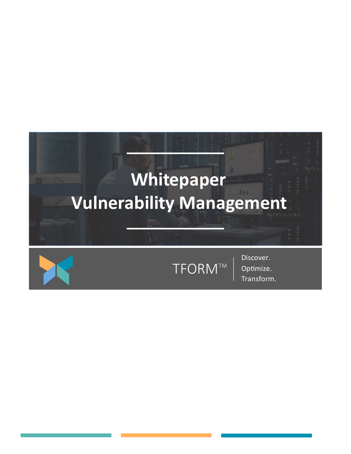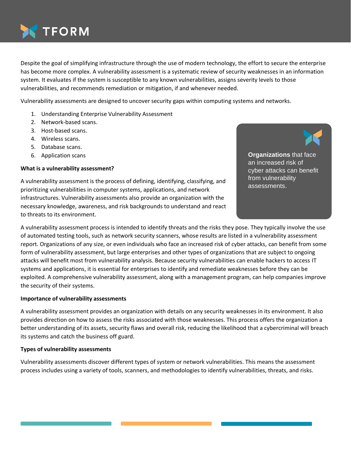

Despite the goal of simplifying infrastructure through the use of modern technology, the effort to secure the enterprise has become more complex. A vulnerability assessment is a systematic review of security weaknesses in an information system. It evaluates if the system is susceptible to any known vulnerabilities, assigns severity levels to those vulnerabilities, and recommends remediation or mitigation, if and whenever needed.

Vulnerability assessments are designed to uncover security gaps within computing systems and networks.

- 1. Understanding Enterprise Vulnerability Assessment
- 2. Network-based scans.
- 3. Host-based scans.
- 4. Wireless scans.
- 5. Database scans.
- 6. Application scans

## **What is a vulnerability assessment?**

A vulnerability assessment is the process of defining, identifying, classifying, and prioritizing vulnerabilities in computer systems, applications, and network infrastructures. Vulnerability assessments also provide an organization with the necessary knowledge, awareness, and risk backgrounds to understand and react to threats to its environment.

**Organizations** that face an increased risk of cyber attacks can benefit from vulnerability assessments.

A vulnerability assessment process is intended to identify threats and the risks they pose. They typically involve the use of automated testing tools, such as network security scanners, whose results are listed in a vulnerability assessment report. Organizations of any size, or even individuals who face an increased risk of cyber attacks, can benefit from some form of vulnerability assessment, but large enterprises and other types of organizations that are subject to ongoing attacks will benefit most from vulnerability analysis. Because security vulnerabilities can enable hackers to access IT systems and applications, it is essential for enterprises to identify and remediate weaknesses before they can be exploited. A comprehensive vulnerability assessment, along with a management program, can help companies improve the security of their systems.

#### **Importance of vulnerability assessments**

A vulnerability assessment provides an organization with details on any security weaknesses in its environment. It also provides direction on how to assess the risks associated with those weaknesses. This process offers the organization a better understanding of its assets, security flaws and overall risk, reducing the likelihood that a cybercriminal will breach its systems and catch the business off guard.

## **Types of vulnerability assessments**

Vulnerability assessments discover different types of system or network vulnerabilities. This means the assessment process includes using a variety of tools, scanners, and methodologies to identify vulnerabilities, threats, and risks.